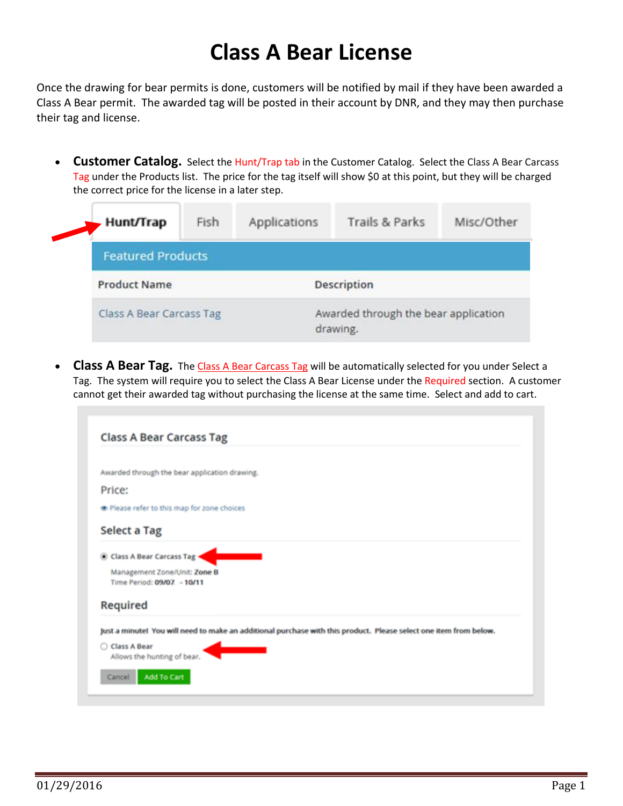## **Class A Bear License**

Once the drawing for bear permits is done, customers will be notified by mail if they have been awarded a Class A Bear permit. The awarded tag will be posted in their account by DNR, and they may then purchase their tag and license.

• **Customer Catalog.** Select the Hunt/Trap tab in the Customer Catalog. Select the Class A Bear Carcass Tag under the Products list. The price for the tag itself will show \$0 at this point, but they will be charged the correct price for the license in a later step.

|  | <b>Hunt/Trap</b>         | Fish | Applications                                     | Trails & Parks | Misc/Other |  |
|--|--------------------------|------|--------------------------------------------------|----------------|------------|--|
|  | <b>Featured Products</b> |      |                                                  |                |            |  |
|  | <b>Product Name</b>      |      | <b>Description</b>                               |                |            |  |
|  | Class A Bear Carcass Tag |      | Awarded through the bear application<br>drawing. |                |            |  |

**Class A Bear Tag.** The Class A Bear Carcass Tag will be automatically selected for you under Select a Tag. The system will require you to select the Class A Bear License under the Required section. A customer cannot get their awarded tag without purchasing the license at the same time. Select and add to cart.

| <b>Class A Bear Carcass Tag</b>                                                                                   |
|-------------------------------------------------------------------------------------------------------------------|
| Awarded through the bear application drawing.                                                                     |
| Price:                                                                                                            |
| Please refer to this map for zone choices                                                                         |
| Select a Tag                                                                                                      |
| Class A Bear Carcass Tag +<br>Management Zone/Unit: Zone B<br>Time Period: 09/07. - 10/11                         |
| Required                                                                                                          |
| Just a minute! You will need to make an additional purchase with this product. Please select one item from below. |
| C Class A Bear<br>Allows the hunting of bear.                                                                     |
| <b>Add To Cart</b><br>Cancel                                                                                      |